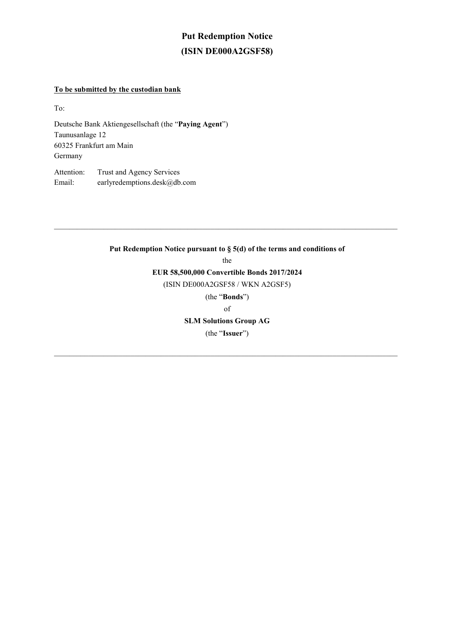## **Put Redemption Notice (ISIN DE000A2GSF58)**

### **To be submitted by the custodian bank**

To:

Deutsche Bank Aktiengesellschaft (the "**Paying Agent**") Taunusanlage 12 60325 Frankfurt am Main Germany

Attention: Trust and Agency Services Email: earlyredemptions.desk@db.com

### **Put Redemption Notice pursuant to § 5(d) of the terms and conditions of**  the **EUR 58,500,000 Convertible Bonds 2017/2024**  (ISIN DE000A2GSF58 / WKN A2GSF5) (the "**Bonds**") of **SLM Solutions Group AG**  (the "**Issuer**")

 $\mathcal{L}_\mathcal{L} = \mathcal{L}_\mathcal{L} = \mathcal{L}_\mathcal{L} = \mathcal{L}_\mathcal{L} = \mathcal{L}_\mathcal{L} = \mathcal{L}_\mathcal{L} = \mathcal{L}_\mathcal{L} = \mathcal{L}_\mathcal{L} = \mathcal{L}_\mathcal{L} = \mathcal{L}_\mathcal{L} = \mathcal{L}_\mathcal{L} = \mathcal{L}_\mathcal{L} = \mathcal{L}_\mathcal{L} = \mathcal{L}_\mathcal{L} = \mathcal{L}_\mathcal{L} = \mathcal{L}_\mathcal{L} = \mathcal{L}_\mathcal{L}$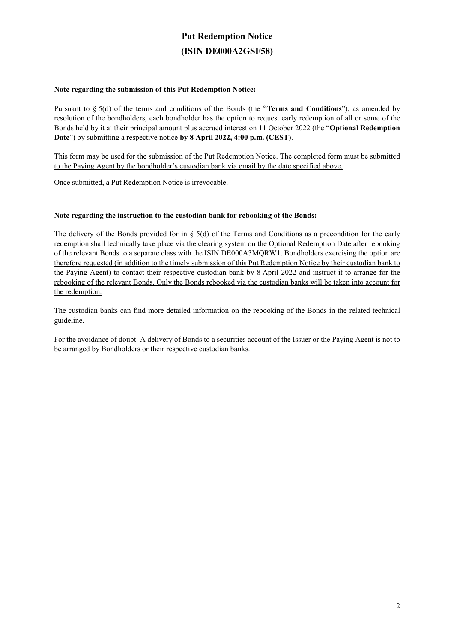# **Put Redemption Notice (ISIN DE000A2GSF58)**

#### **Note regarding the submission of this Put Redemption Notice:**

Pursuant to § 5(d) of the terms and conditions of the Bonds (the "**Terms and Conditions**"), as amended by resolution of the bondholders, each bondholder has the option to request early redemption of all or some of the Bonds held by it at their principal amount plus accrued interest on 11 October 2022 (the "**Optional Redemption Date**") by submitting a respective notice **by 8 April 2022, 4:00 p.m. (CEST)**.

This form may be used for the submission of the Put Redemption Notice. The completed form must be submitted to the Paying Agent by the bondholder's custodian bank via email by the date specified above.

Once submitted, a Put Redemption Notice is irrevocable.

#### **Note regarding the instruction to the custodian bank for rebooking of the Bonds:**

The delivery of the Bonds provided for in § 5(d) of the Terms and Conditions as a precondition for the early redemption shall technically take place via the clearing system on the Optional Redemption Date after rebooking of the relevant Bonds to a separate class with the ISIN DE000A3MQRW1. Bondholders exercising the option are therefore requested (in addition to the timely submission of this Put Redemption Notice by their custodian bank to the Paying Agent) to contact their respective custodian bank by 8 April 2022 and instruct it to arrange for the rebooking of the relevant Bonds. Only the Bonds rebooked via the custodian banks will be taken into account for the redemption.

The custodian banks can find more detailed information on the rebooking of the Bonds in the related technical guideline.

For the avoidance of doubt: A delivery of Bonds to a securities account of the Issuer or the Paying Agent is not to be arranged by Bondholders or their respective custodian banks.